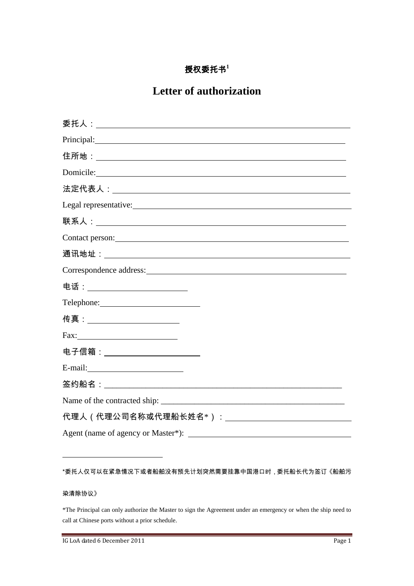## 授权委托书**<sup>1</sup>**

## **Letter of authorization**

| Principal: <u>contract and contract and contract and contract and contract and contract and contract and contract and contract and contract and contract and contract and contract and contract and contract and contract and co</u> |
|--------------------------------------------------------------------------------------------------------------------------------------------------------------------------------------------------------------------------------------|
|                                                                                                                                                                                                                                      |
| Domicile: New York Contract the Contract of the Contract of the Contract of the Contract of the Contract of the Contract of the Contract of the Contract of the Contract of the Contract of the Contract of the Contract of th       |
|                                                                                                                                                                                                                                      |
| Legal representative:                                                                                                                                                                                                                |
|                                                                                                                                                                                                                                      |
| Contact person:                                                                                                                                                                                                                      |
|                                                                                                                                                                                                                                      |
| Correspondence address: Note of the Correspondence and the Second Correspondence and the Correspondence and the Correspondence and the Correspondence and the Correspondence and the Correspondence and the Correspondence and       |
| 电话:___________________________                                                                                                                                                                                                       |
| Telephone: New York Changes and Separate Changes and Separate Changes and Separate Changes and Separate Changes and Separate Changes and Separate Changes and Separate Changes and Separate Changes and Separate Changes and S       |
| 传真:_____________________                                                                                                                                                                                                             |
|                                                                                                                                                                                                                                      |
| 电子信箱:______________________                                                                                                                                                                                                          |
|                                                                                                                                                                                                                                      |
|                                                                                                                                                                                                                                      |
|                                                                                                                                                                                                                                      |
| 代理人(代理公司名称或代理船长姓名*):________________________________                                                                                                                                                                                 |
|                                                                                                                                                                                                                                      |

## \*委托人仅可以在紧急情况下或者船舶没有预先计划突然需要挂靠中国港口时,委托船长代为签订《船舶污

## 染清除协议》

 $\overline{a}$ 

\*The Principal can only authorize the Master to sign the Agreement under an emergency or when the ship need to call at Chinese ports without a prior schedule.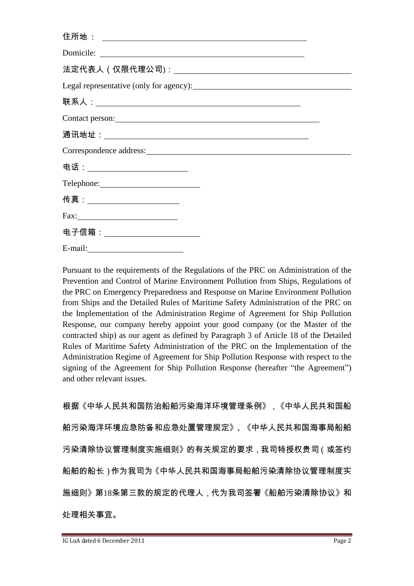| Contact person:                                                                                                                                                                                                                |  |
|--------------------------------------------------------------------------------------------------------------------------------------------------------------------------------------------------------------------------------|--|
|                                                                                                                                                                                                                                |  |
| Correspondence address: Note that the contract of the contract of the contract of the contract of the contract of the contract of the contract of the contract of the contract of the contract of the contract of the contract |  |
| 电话:___ <b>___________________</b> __                                                                                                                                                                                           |  |
|                                                                                                                                                                                                                                |  |
| 传真:_______________________                                                                                                                                                                                                     |  |
|                                                                                                                                                                                                                                |  |
| 电子信箱:______________________                                                                                                                                                                                                    |  |
| E-mail: $\qquad \qquad$                                                                                                                                                                                                        |  |

Pursuant to the requirements of the Regulations of the PRC on Administration of the Prevention and Control of Marine Environment Pollution from Ships, Regulations of the PRC on Emergency Preparedness and Response on Marine Environment Pollution from Ships and the Detailed Rules of Maritime Safety Administration of the PRC on the Implementation of the Administration Regime of Agreement for Ship Pollution Response, our company hereby appoint your good company (or the Master of the contracted ship) as our agent as defined by Paragraph 3 of Article 18 of the Detailed Rules of Maritime Safety Administration of the PRC on the Implementation of the Administration Regime of Agreement for Ship Pollution Response with respect to the signing of the Agreement for Ship Pollution Response (hereafter "the Agreement") and other relevant issues.

根据《中华人民共和国防治船舶污染海洋环境管理条例》,《中华人民共和国船 舶污染海洋环境应急防备和应急处置管理规定》、《中华人民共和国海事局船舶 污染清除协议管理制度实施细则》的有关规定的要求,我司特授权贵司(或签约 船舶的船长)作为我司为《中华人民共和国海事局船舶污染清除协议管理制度实 施细则》第18条第三款的规定的代理人,代为我司签署《船舶污染清除协议》和 处理相关事宜。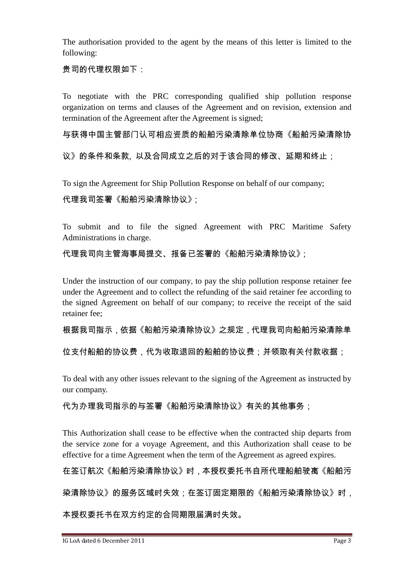The authorisation provided to the agent by the means of this letter is limited to the following:

贵司的代理权限如下:

To negotiate with the PRC corresponding qualified ship pollution response organization on terms and clauses of the Agreement and on revision, extension and termination of the Agreement after the Agreement is signed;

与获得中国主管部门认可相应资质的船舶污染清除单位协商《船舶污染清除协

议》的条件和条款, 以及合同成立之后的对于该合同的修改、延期和终止;

To sign the Agreement for Ship Pollution Response on behalf of our company;

代理我司签署《船舶污染清除协议》;

To submit and to file the signed Agreement with PRC Maritime Safety Administrations in charge.

代理我司向主管海事局提交、报备已签署的《船舶污染清除协议》;

Under the instruction of our company, to pay the ship pollution response retainer fee under the Agreement and to collect the refunding of the said retainer fee according to the signed Agreement on behalf of our company; to receive the receipt of the said retainer fee;

根据我司指示,依据《船舶污染清除协议》之规定,代理我司向船舶污染清除单

位支付船舶的协议费,代为收取退回的船舶的协议费;并领取有关付款收据;

To deal with any other issues relevant to the signing of the Agreement as instructed by our company.

代为办理我司指示的与签署《船舶污染清除协议》有关的其他事务;

This Authorization shall cease to be effective when the contracted ship departs from the service zone for a voyage Agreement, and this Authorization shall cease to be effective for a time Agreement when the term of the Agreement as agreed expires.

在签订航次《船舶污染清除协议》时,本授权委托书自所代理船舶驶离《船舶污

染清除协议》的服务区域时失效;在签订固定期限的《船舶污染清除协议》时,

本授权委托书在双方约定的合同期限届满时失效。